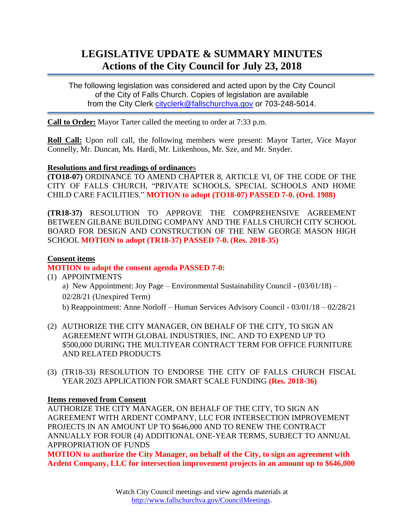# **LEGISLATIVE UPDATE & SUMMARY MINUTES Actions of the City Council for July 23, 2018**

The following legislation was considered and acted upon by the City Council of the City of Falls Church. Copies of legislation are available from the City Clerk [cityclerk@fallschurchva.gov](mailto:cityclerk@fallschurchva.gov) or 703-248-5014.

**Call to Order:** Mayor Tarter called the meeting to order at 7:33 p.m.

**Roll Call:** Upon roll call, the following members were present: Mayor Tarter, Vice Mayor Connelly, Mr. Duncan, Ms. Hardi, Mr. Litkenhous, Mr. Sze, and Mr. Snyder.

## **Resolutions and first readings of ordinance**s

**(TO18-07)** ORDINANCE TO AMEND CHAPTER 8, ARTICLE VI, OF THE CODE OF THE CITY OF FALLS CHURCH, "PRIVATE SCHOOLS, SPECIAL SCHOOLS AND HOME CHILD CARE FACILITIES." **MOTION to adopt (TO18-07) PASSED 7-0. (Ord. 1988)**

**(TR18-37)** RESOLUTION TO APPROVE THE COMPREHENSIVE AGREEMENT BETWEEN GILBANE BUILDING COMPANY AND THE FALLS CHURCH CITY SCHOOL BOARD FOR DESIGN AND CONSTRUCTION OF THE NEW GEORGE MASON HIGH SCHOOL **MOTION to adopt (TR18-37) PASSED 7-0. (Res. 2018-35)**

# **Consent items**

# **MOTION to adopt the consent agenda PASSED 7-0:**

(1) APPOINTMENTS a) New Appointment: Joy Page – Environmental Sustainability Council - (03/01/18) – 02/28/21 (Unexpired Term) b) Reappointment: Anne Norloff – Human Services Advisory Council - 03/01/18 – 02/28/21

- (2) AUTHORIZE THE CITY MANAGER, ON BEHALF OF THE CITY, TO SIGN AN AGREEMENT WITH GLOBAL INDUSTRIES, INC. AND TO EXPEND UP TO \$500,000 DURING THE MULTIYEAR CONTRACT TERM FOR OFFICE FURNITURE AND RELATED PRODUCTS
- (3) (TR18-33) RESOLUTION TO ENDORSE THE CITY OF FALLS CHURCH FISCAL YEAR 2023 APPLICATION FOR SMART SCALE FUNDING **(Res. 2018-36)**

#### **Items removed from Consent**

AUTHORIZE THE CITY MANAGER, ON BEHALF OF THE CITY, TO SIGN AN AGREEMENT WITH ARDENT COMPANY, LLC FOR INTERSECTION IMPROVEMENT PROJECTS IN AN AMOUNT UP TO \$646,000 AND TO RENEW THE CONTRACT ANNUALLY FOR FOUR (4) ADDITIONAL ONE-YEAR TERMS, SUBJECT TO ANNUAL APPROPRIATION OF FUNDS

**MOTION to authorize the City Manager, on behalf of the City, to sign an agreement with Ardent Company, LLC for intersection improvement projects in an amount up to \$646,000**